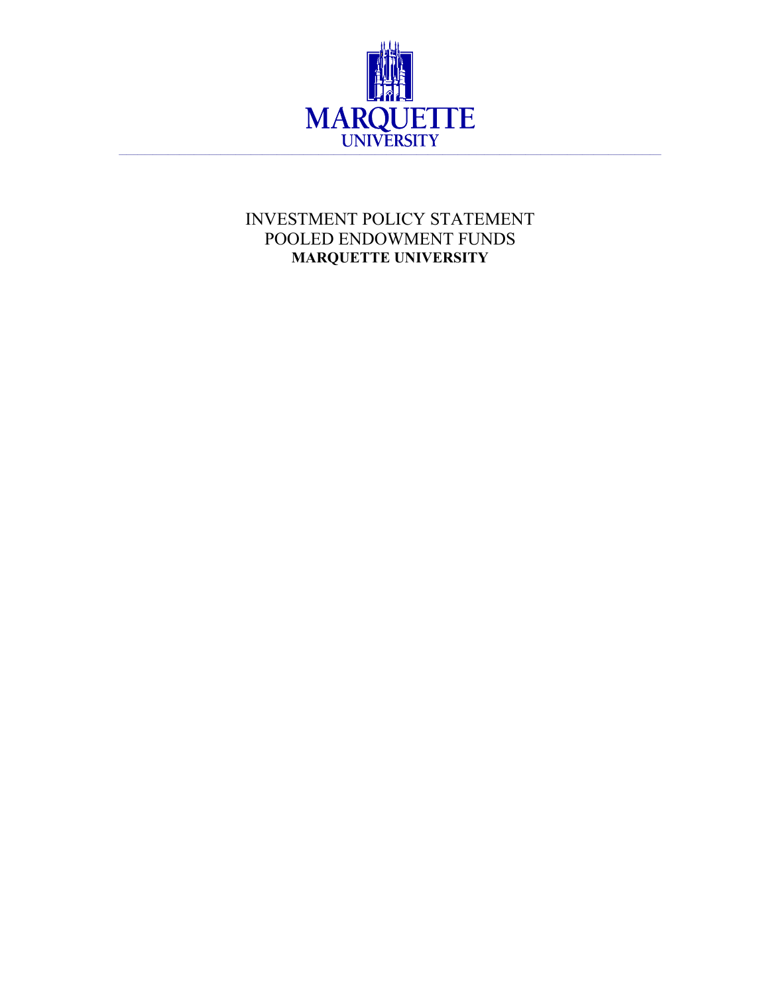

# INVESTMENT POLICY STATEMENT POOLED ENDOWMENT FUNDS **MARQUETTE UNIVERSITY**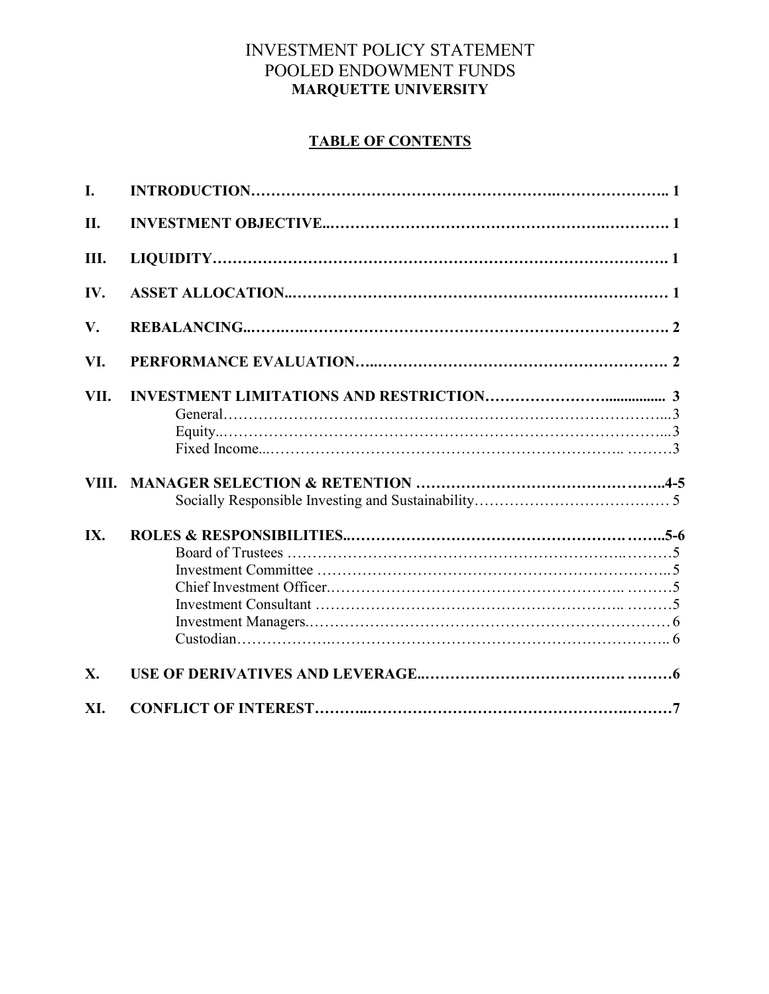## INVESTMENT POLICY STATEMENT POOLED ENDOWMENT FUNDS **MARQUETTE UNIVERSITY**

## **TABLE OF CONTENTS**

| I.    |  |
|-------|--|
| Π.    |  |
| Ш.    |  |
| IV.   |  |
| V.    |  |
| VI.   |  |
| VII.  |  |
| VIII. |  |
| IX.   |  |
| X.    |  |
| XI.   |  |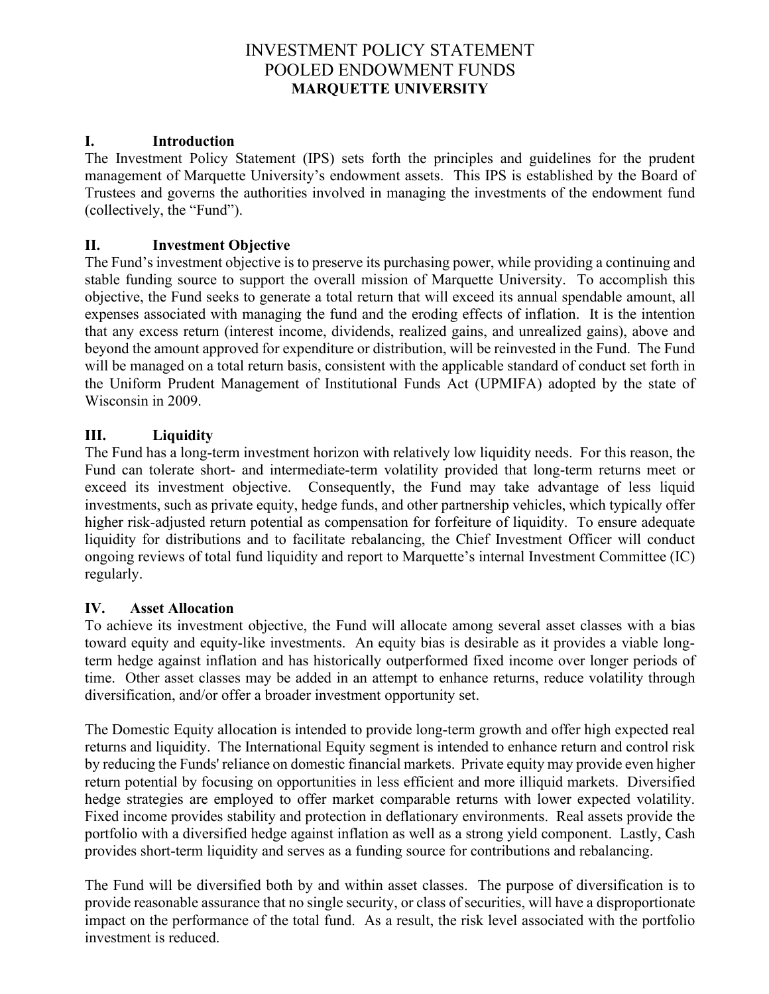## INVESTMENT POLICY STATEMENT POOLED ENDOWMENT FUNDS **MARQUETTE UNIVERSITY**

## **I. Introduction**

The Investment Policy Statement (IPS) sets forth the principles and guidelines for the prudent management of Marquette University's endowment assets. This IPS is established by the Board of Trustees and governs the authorities involved in managing the investments of the endowment fund (collectively, the "Fund").

## **II. Investment Objective**

The Fund's investment objective is to preserve its purchasing power, while providing a continuing and stable funding source to support the overall mission of Marquette University. To accomplish this objective, the Fund seeks to generate a total return that will exceed its annual spendable amount, all expenses associated with managing the fund and the eroding effects of inflation. It is the intention that any excess return (interest income, dividends, realized gains, and unrealized gains), above and beyond the amount approved for expenditure or distribution, will be reinvested in the Fund. The Fund will be managed on a total return basis, consistent with the applicable standard of conduct set forth in the Uniform Prudent Management of Institutional Funds Act (UPMIFA) adopted by the state of Wisconsin in 2009.

## **III. Liquidity**

The Fund has a long-term investment horizon with relatively low liquidity needs. For this reason, the Fund can tolerate short- and intermediate-term volatility provided that long-term returns meet or exceed its investment objective. Consequently, the Fund may take advantage of less liquid investments, such as private equity, hedge funds, and other partnership vehicles, which typically offer higher risk-adjusted return potential as compensation for forfeiture of liquidity. To ensure adequate liquidity for distributions and to facilitate rebalancing, the Chief Investment Officer will conduct ongoing reviews of total fund liquidity and report to Marquette's internal Investment Committee (IC) regularly.

#### **IV. Asset Allocation**

To achieve its investment objective, the Fund will allocate among several asset classes with a bias toward equity and equity-like investments. An equity bias is desirable as it provides a viable longterm hedge against inflation and has historically outperformed fixed income over longer periods of time. Other asset classes may be added in an attempt to enhance returns, reduce volatility through diversification, and/or offer a broader investment opportunity set.

The Domestic Equity allocation is intended to provide long-term growth and offer high expected real returns and liquidity. The International Equity segment is intended to enhance return and control risk by reducing the Funds' reliance on domestic financial markets. Private equity may provide even higher return potential by focusing on opportunities in less efficient and more illiquid markets. Diversified hedge strategies are employed to offer market comparable returns with lower expected volatility. Fixed income provides stability and protection in deflationary environments. Real assets provide the portfolio with a diversified hedge against inflation as well as a strong yield component. Lastly, Cash provides short-term liquidity and serves as a funding source for contributions and rebalancing.

The Fund will be diversified both by and within asset classes. The purpose of diversification is to provide reasonable assurance that no single security, or class of securities, will have a disproportionate impact on the performance of the total fund. As a result, the risk level associated with the portfolio investment is reduced.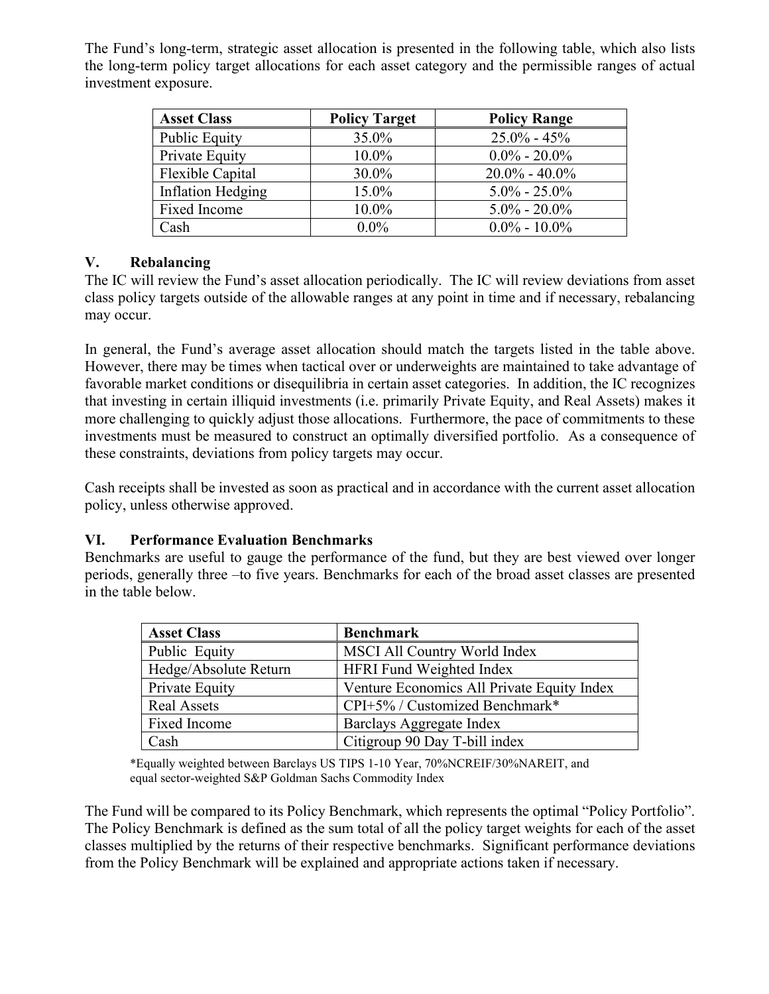The Fund's long-term, strategic asset allocation is presented in the following table, which also lists the long-term policy target allocations for each asset category and the permissible ranges of actual investment exposure.

| <b>Asset Class</b>   | <b>Policy Target</b> | <b>Policy Range</b> |
|----------------------|----------------------|---------------------|
| <b>Public Equity</b> | 35.0%                | $25.0\% - 45\%$     |
| Private Equity       | 10.0%                | $0.0\% - 20.0\%$    |
| Flexible Capital     | 30.0%                | $20.0\% - 40.0\%$   |
| Inflation Hedging    | 15.0%                | $5.0\% - 25.0\%$    |
| Fixed Income         | 10.0%                | $5.0\% - 20.0\%$    |
| Cash                 | $0.0\%$              | $0.0\% - 10.0\%$    |

## **V. Rebalancing**

The IC will review the Fund's asset allocation periodically. The IC will review deviations from asset class policy targets outside of the allowable ranges at any point in time and if necessary, rebalancing may occur.

In general, the Fund's average asset allocation should match the targets listed in the table above. However, there may be times when tactical over or underweights are maintained to take advantage of favorable market conditions or disequilibria in certain asset categories. In addition, the IC recognizes that investing in certain illiquid investments (i.e. primarily Private Equity, and Real Assets) makes it more challenging to quickly adjust those allocations. Furthermore, the pace of commitments to these investments must be measured to construct an optimally diversified portfolio. As a consequence of these constraints, deviations from policy targets may occur.

Cash receipts shall be invested as soon as practical and in accordance with the current asset allocation policy, unless otherwise approved.

## **VI. Performance Evaluation Benchmarks**

Benchmarks are useful to gauge the performance of the fund, but they are best viewed over longer periods, generally three –to five years. Benchmarks for each of the broad asset classes are presented in the table below.

| <b>Asset Class</b>    | <b>Benchmark</b>                           |  |
|-----------------------|--------------------------------------------|--|
| Public Equity         | MSCI All Country World Index               |  |
| Hedge/Absolute Return | <b>HFRI Fund Weighted Index</b>            |  |
| Private Equity        | Venture Economics All Private Equity Index |  |
| <b>Real Assets</b>    | CPI+5% / Customized Benchmark*             |  |
| Fixed Income          | Barclays Aggregate Index                   |  |
| Cash                  | Citigroup 90 Day T-bill index              |  |

\*Equally weighted between Barclays US TIPS 1-10 Year, 70%NCREIF/30%NAREIT, and equal sector-weighted S&P Goldman Sachs Commodity Index

The Fund will be compared to its Policy Benchmark, which represents the optimal "Policy Portfolio". The Policy Benchmark is defined as the sum total of all the policy target weights for each of the asset classes multiplied by the returns of their respective benchmarks. Significant performance deviations from the Policy Benchmark will be explained and appropriate actions taken if necessary.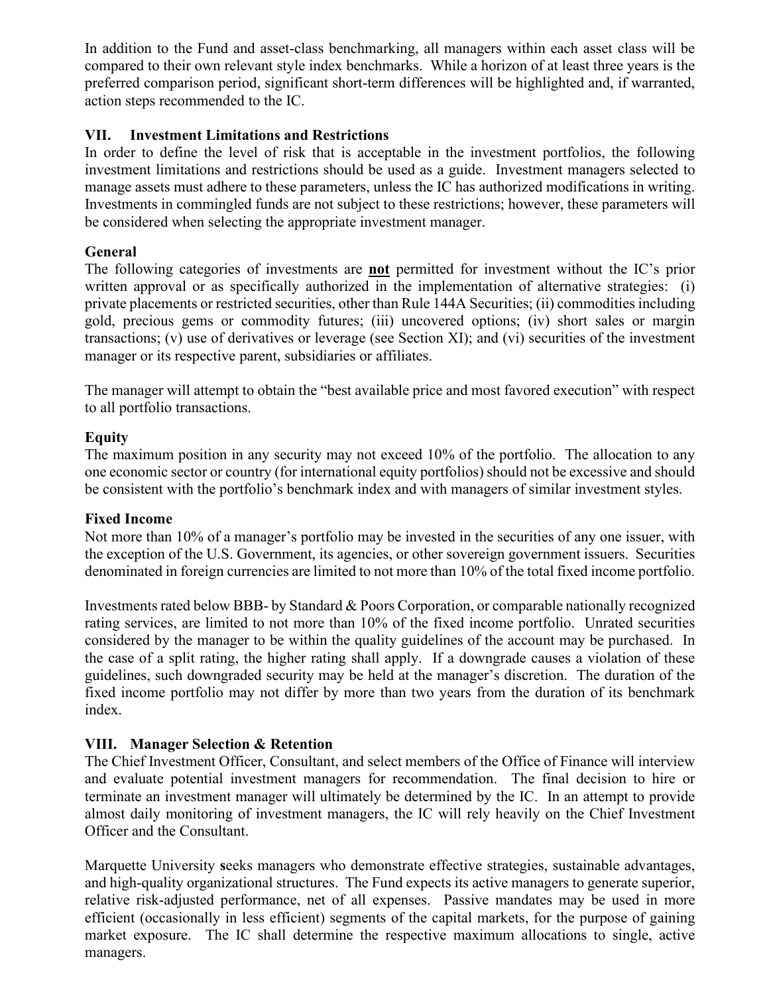In addition to the Fund and asset-class benchmarking, all managers within each asset class will be compared to their own relevant style index benchmarks. While a horizon of at least three years is the preferred comparison period, significant short-term differences will be highlighted and, if warranted, action steps recommended to the IC.

## **VII. Investment Limitations and Restrictions**

In order to define the level of risk that is acceptable in the investment portfolios, the following investment limitations and restrictions should be used as a guide. Investment managers selected to manage assets must adhere to these parameters, unless the IC has authorized modifications in writing. Investments in commingled funds are not subject to these restrictions; however, these parameters will be considered when selecting the appropriate investment manager.

## **General**

The following categories of investments are **not** permitted for investment without the IC's prior written approval or as specifically authorized in the implementation of alternative strategies: (i) private placements or restricted securities, other than Rule 144A Securities; (ii) commodities including gold, precious gems or commodity futures; (iii) uncovered options; (iv) short sales or margin transactions; (v) use of derivatives or leverage (see Section XI); and (vi) securities of the investment manager or its respective parent, subsidiaries or affiliates.

The manager will attempt to obtain the "best available price and most favored execution" with respect to all portfolio transactions.

### **Equity**

The maximum position in any security may not exceed 10% of the portfolio. The allocation to any one economic sector or country (for international equity portfolios) should not be excessive and should be consistent with the portfolio's benchmark index and with managers of similar investment styles.

#### **Fixed Income**

Not more than 10% of a manager's portfolio may be invested in the securities of any one issuer, with the exception of the U.S. Government, its agencies, or other sovereign government issuers. Securities denominated in foreign currencies are limited to not more than 10% of the total fixed income portfolio.

Investments rated below BBB- by Standard  $&$  Poors Corporation, or comparable nationally recognized rating services, are limited to not more than 10% of the fixed income portfolio. Unrated securities considered by the manager to be within the quality guidelines of the account may be purchased. In the case of a split rating, the higher rating shall apply. If a downgrade causes a violation of these guidelines, such downgraded security may be held at the manager's discretion. The duration of the fixed income portfolio may not differ by more than two years from the duration of its benchmark index.

## **VIII. Manager Selection & Retention**

The Chief Investment Officer, Consultant, and select members of the Office of Finance will interview and evaluate potential investment managers for recommendation. The final decision to hire or terminate an investment manager will ultimately be determined by the IC. In an attempt to provide almost daily monitoring of investment managers, the IC will rely heavily on the Chief Investment Officer and the Consultant.

Marquette University **s**eeks managers who demonstrate effective strategies, sustainable advantages, and high-quality organizational structures. The Fund expects its active managers to generate superior, relative risk-adjusted performance, net of all expenses. Passive mandates may be used in more efficient (occasionally in less efficient) segments of the capital markets, for the purpose of gaining market exposure. The IC shall determine the respective maximum allocations to single, active managers.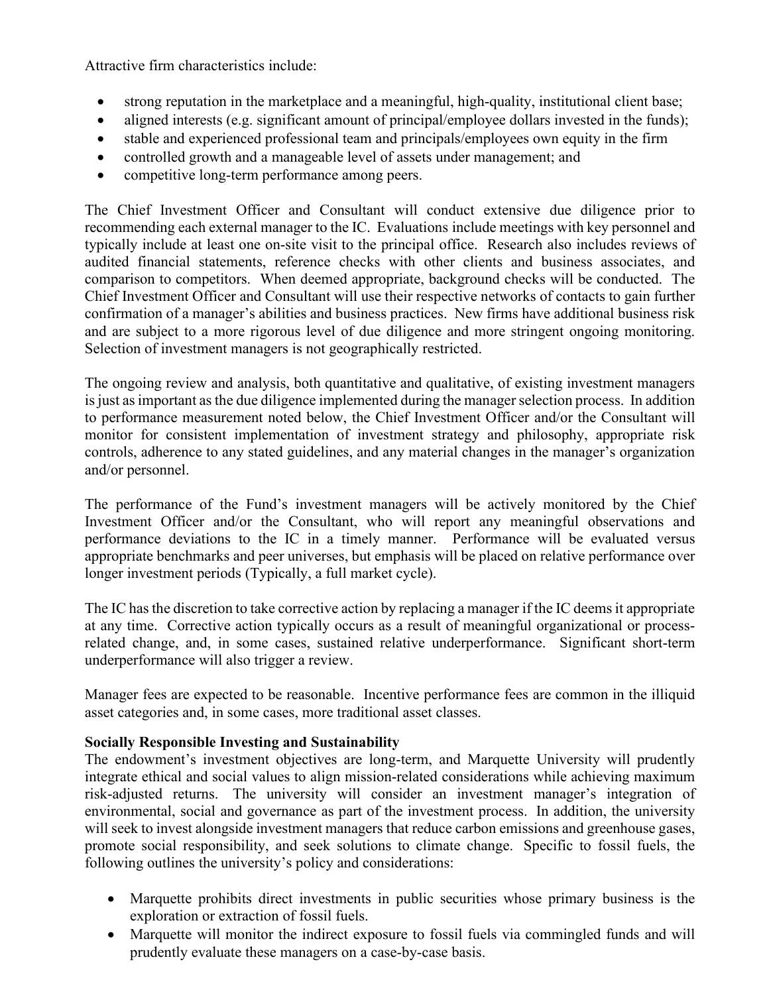Attractive firm characteristics include:

- strong reputation in the marketplace and a meaningful, high-quality, institutional client base;
- aligned interests (e.g. significant amount of principal/employee dollars invested in the funds);
- stable and experienced professional team and principals/employees own equity in the firm
- controlled growth and a manageable level of assets under management; and
- competitive long-term performance among peers.

The Chief Investment Officer and Consultant will conduct extensive due diligence prior to recommending each external manager to the IC. Evaluations include meetings with key personnel and typically include at least one on-site visit to the principal office. Research also includes reviews of audited financial statements, reference checks with other clients and business associates, and comparison to competitors. When deemed appropriate, background checks will be conducted. The Chief Investment Officer and Consultant will use their respective networks of contacts to gain further confirmation of a manager's abilities and business practices. New firms have additional business risk and are subject to a more rigorous level of due diligence and more stringent ongoing monitoring. Selection of investment managers is not geographically restricted.

The ongoing review and analysis, both quantitative and qualitative, of existing investment managers is just as important as the due diligence implemented during the manager selection process. In addition to performance measurement noted below, the Chief Investment Officer and/or the Consultant will monitor for consistent implementation of investment strategy and philosophy, appropriate risk controls, adherence to any stated guidelines, and any material changes in the manager's organization and/or personnel.

The performance of the Fund's investment managers will be actively monitored by the Chief Investment Officer and/or the Consultant, who will report any meaningful observations and performance deviations to the IC in a timely manner. Performance will be evaluated versus appropriate benchmarks and peer universes, but emphasis will be placed on relative performance over longer investment periods (Typically, a full market cycle).

The IC has the discretion to take corrective action by replacing a manager if the IC deems it appropriate at any time. Corrective action typically occurs as a result of meaningful organizational or processrelated change, and, in some cases, sustained relative underperformance. Significant short-term underperformance will also trigger a review.

Manager fees are expected to be reasonable. Incentive performance fees are common in the illiquid asset categories and, in some cases, more traditional asset classes.

## **Socially Responsible Investing and Sustainability**

The endowment's investment objectives are long-term, and Marquette University will prudently integrate ethical and social values to align mission-related considerations while achieving maximum risk-adjusted returns. The university will consider an investment manager's integration of environmental, social and governance as part of the investment process. In addition, the university will seek to invest alongside investment managers that reduce carbon emissions and greenhouse gases, promote social responsibility, and seek solutions to climate change. Specific to fossil fuels, the following outlines the university's policy and considerations:

- Marquette prohibits direct investments in public securities whose primary business is the exploration or extraction of fossil fuels.
- Marquette will monitor the indirect exposure to fossil fuels via commingled funds and will prudently evaluate these managers on a case-by-case basis.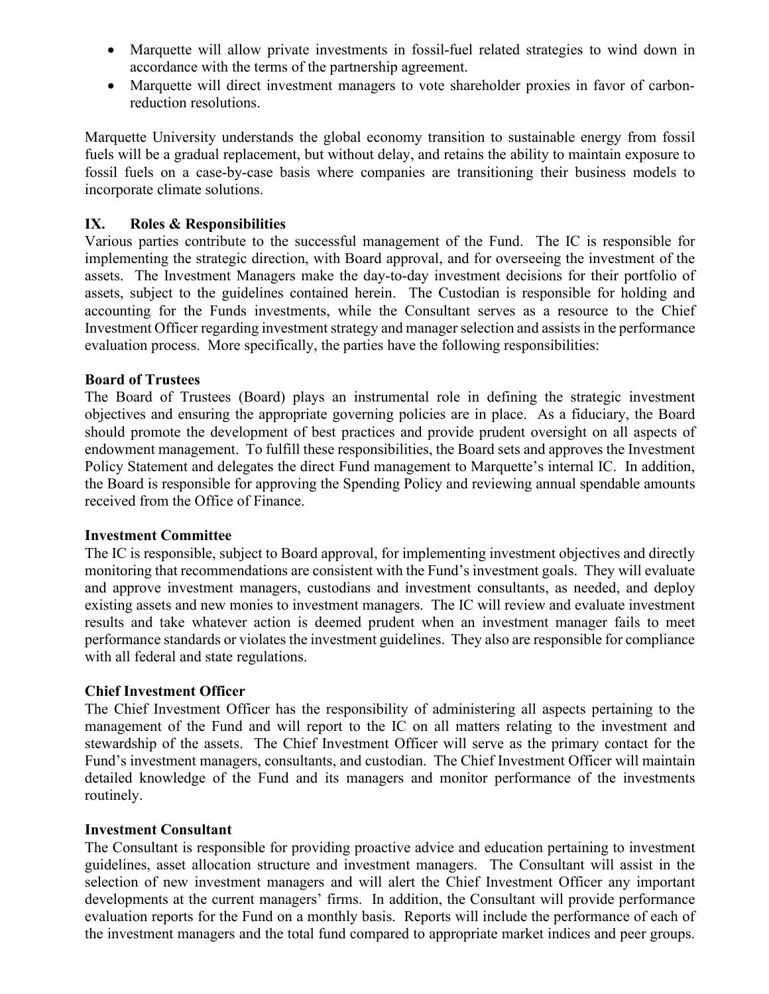- Marquette will allow private investments in fossil-fuel related strategies to wind down in accordance with the terms of the partnership agreement.
- Marquette will direct investment managers to vote shareholder proxies in favor of carbonreduction resolutions.

Marquette University understands the global economy transition to sustainable energy from fossil fuels will be a gradual replacement, but without delay, and retains the ability to maintain exposure to fossil fuels on a case-by-case basis where companies are transitioning their business models to incorporate climate solutions.

### **IX. Roles & Responsibilities**

Various parties contribute to the successful management of the Fund. The IC is responsible for implementing the strategic direction, with Board approval, and for overseeing the investment of the assets. The Investment Managers make the day-to-day investment decisions for their portfolio of assets, subject to the guidelines contained herein. The Custodian is responsible for holding and accounting for the Funds investments, while the Consultant serves as a resource to the Chief Investment Officer regarding investment strategy and manager selection and assists in the performance evaluation process. More specifically, the parties have the following responsibilities:

### **Board of Trustees**

The Board of Trustees (Board) plays an instrumental role in defining the strategic investment objectives and ensuring the appropriate governing policies are in place. As a fiduciary, the Board should promote the development of best practices and provide prudent oversight on all aspects of endowment management. To fulfill these responsibilities, the Board sets and approves the Investment Policy Statement and delegates the direct Fund management to Marquette's internal IC. In addition, the Board is responsible for approving the Spending Policy and reviewing annual spendable amounts received from the Office of Finance.

#### **Investment Committee**

The IC is responsible, subject to Board approval, for implementing investment objectives and directly monitoring that recommendations are consistent with the Fund's investment goals. They will evaluate and approve investment managers, custodians and investment consultants, as needed, and deploy existing assets and new monies to investment managers. The IC will review and evaluate investment results and take whatever action is deemed prudent when an investment manager fails to meet performance standards or violates the investment guidelines. They also are responsible for compliance with all federal and state regulations.

#### **Chief Investment Officer**

The Chief Investment Officer has the responsibility of administering all aspects pertaining to the management of the Fund and will report to the IC on all matters relating to the investment and stewardship of the assets. The Chief Investment Officer will serve as the primary contact for the Fund's investment managers, consultants, and custodian. The Chief Investment Officer will maintain detailed knowledge of the Fund and its managers and monitor performance of the investments routinely.

#### **Investment Consultant**

The Consultant is responsible for providing proactive advice and education pertaining to investment guidelines, asset allocation structure and investment managers. The Consultant will assist in the selection of new investment managers and will alert the Chief Investment Officer any important developments at the current managers' firms. In addition, the Consultant will provide performance evaluation reports for the Fund on a monthly basis. Reports will include the performance of each of the investment managers and the total fund compared to appropriate market indices and peer groups.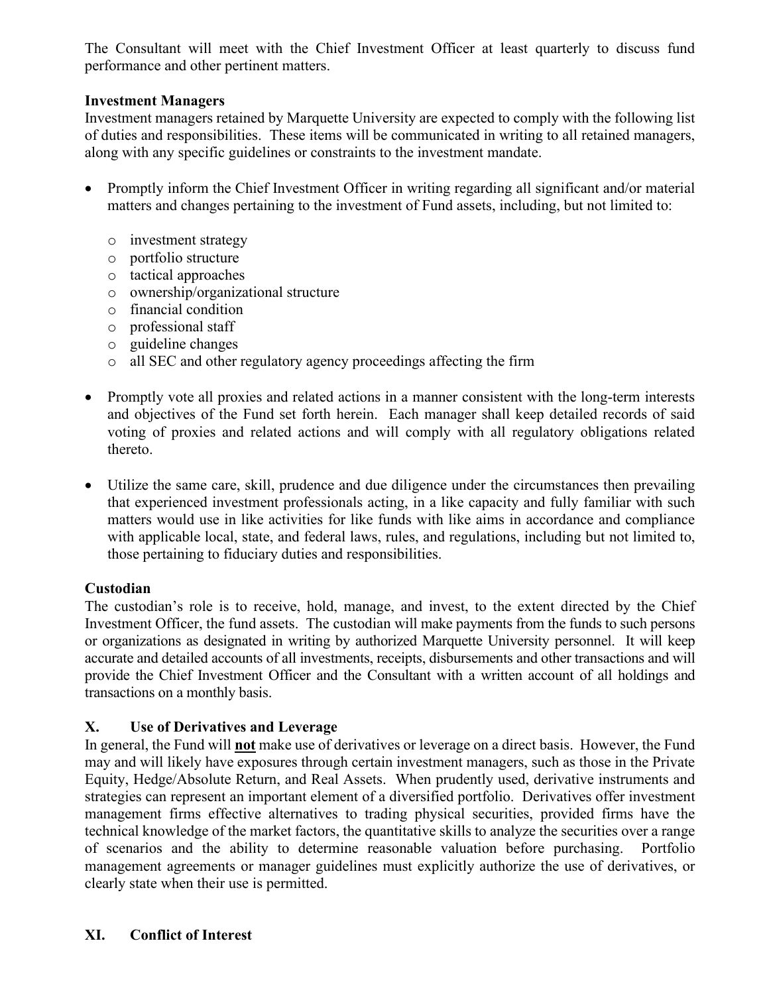The Consultant will meet with the Chief Investment Officer at least quarterly to discuss fund performance and other pertinent matters.

## **Investment Managers**

Investment managers retained by Marquette University are expected to comply with the following list of duties and responsibilities. These items will be communicated in writing to all retained managers, along with any specific guidelines or constraints to the investment mandate.

- Promptly inform the Chief Investment Officer in writing regarding all significant and/or material matters and changes pertaining to the investment of Fund assets, including, but not limited to:
	- o investment strategy
	- o portfolio structure
	- o tactical approaches
	- o ownership/organizational structure
	- o financial condition
	- o professional staff
	- o guideline changes
	- o all SEC and other regulatory agency proceedings affecting the firm
- Promptly vote all proxies and related actions in a manner consistent with the long-term interests and objectives of the Fund set forth herein. Each manager shall keep detailed records of said voting of proxies and related actions and will comply with all regulatory obligations related thereto.
- Utilize the same care, skill, prudence and due diligence under the circumstances then prevailing that experienced investment professionals acting, in a like capacity and fully familiar with such matters would use in like activities for like funds with like aims in accordance and compliance with applicable local, state, and federal laws, rules, and regulations, including but not limited to, those pertaining to fiduciary duties and responsibilities.

## **Custodian**

The custodian's role is to receive, hold, manage, and invest, to the extent directed by the Chief Investment Officer, the fund assets. The custodian will make payments from the funds to such persons or organizations as designated in writing by authorized Marquette University personnel. It will keep accurate and detailed accounts of all investments, receipts, disbursements and other transactions and will provide the Chief Investment Officer and the Consultant with a written account of all holdings and transactions on a monthly basis.

## **X. Use of Derivatives and Leverage**

In general, the Fund will **not** make use of derivatives or leverage on a direct basis. However, the Fund may and will likely have exposures through certain investment managers, such as those in the Private Equity, Hedge/Absolute Return, and Real Assets. When prudently used, derivative instruments and strategies can represent an important element of a diversified portfolio. Derivatives offer investment management firms effective alternatives to trading physical securities, provided firms have the technical knowledge of the market factors, the quantitative skills to analyze the securities over a range of scenarios and the ability to determine reasonable valuation before purchasing. Portfolio management agreements or manager guidelines must explicitly authorize the use of derivatives, or clearly state when their use is permitted.